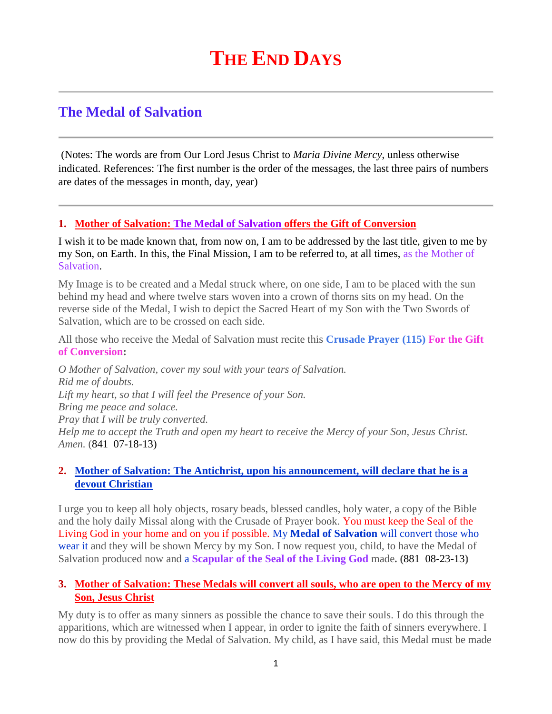# **THE END DAYS**

# **The Medal of Salvation**

(Notes: The words are from Our Lord Jesus Christ to *Maria Divine Mercy*, unless otherwise indicated. References: The first number is the order of the messages, the last three pairs of numbers are dates of the messages in month, day, year)

# **1. [Mother of Salvation: The Medal of Salvation](http://www.thewarningsecondcoming.com/mother-of-salvation-the-medal-of-salvation-offers-the-gift-of-conversion/) offers the Gift of Conversion**

I wish it to be made known that, from now on, I am to be addressed by the last title, given to me by my Son, on Earth. In this, the Final Mission, I am to be referred to, at all times, as the Mother of Salvation.

My Image is to be created and a Medal struck where, on one side, I am to be placed with the sun behind my head and where twelve stars woven into a crown of thorns sits on my head. On the reverse side of the Medal, I wish to depict the Sacred Heart of my Son with the Two Swords of Salvation, which are to be crossed on each side.

All those who receive the Medal of Salvation must recite this **Crusade Prayer (115) For the Gift of Conversion:**

*O Mother of Salvation, cover my soul with your tears of Salvation. Rid me of doubts. Lift my heart, so that I will feel the Presence of your Son. Bring me peace and solace. Pray that I will be truly converted. Help me to accept the Truth and open my heart to receive the Mercy of your Son, Jesus Christ. Amen.* (841 07-18-13)

#### **2. [Mother of Salvation: The Antichrist, upon his announcement, will declare that he is a](http://www.thewarningsecondcoming.com/mother-of-salvation-the-antichrist-upon-his-announcement-will-declare-that-he-is-a-devout-christian/)  [devout Christian](http://www.thewarningsecondcoming.com/mother-of-salvation-the-antichrist-upon-his-announcement-will-declare-that-he-is-a-devout-christian/)**

I urge you to keep all holy objects, rosary beads, blessed candles, holy water, a copy of the Bible and the holy daily Missal along with the Crusade of Prayer book. You must keep the Seal of the Living God in your home and on you if possible. My **Medal of Salvation** will convert those who wear it and they will be shown Mercy by my Son. I now request you, child, to have the Medal of Salvation produced now and a **Scapular of the Seal of the Living God** made**. (**881 08-23-13**)**

# **3. [Mother of Salvation: These Medals will convert all souls, who are open to the Mercy of my](http://www.thewarningsecondcoming.com/mother-of-salvation-these-medals-will-convert-all-souls-who-are-open-to-the-mercy-of-my-son-jesus-christ/)  [Son, Jesus Christ](http://www.thewarningsecondcoming.com/mother-of-salvation-these-medals-will-convert-all-souls-who-are-open-to-the-mercy-of-my-son-jesus-christ/)**

My duty is to offer as many sinners as possible the chance to save their souls. I do this through the apparitions, which are witnessed when I appear, in order to ignite the faith of sinners everywhere. I now do this by providing the Medal of Salvation. My child, as I have said, this Medal must be made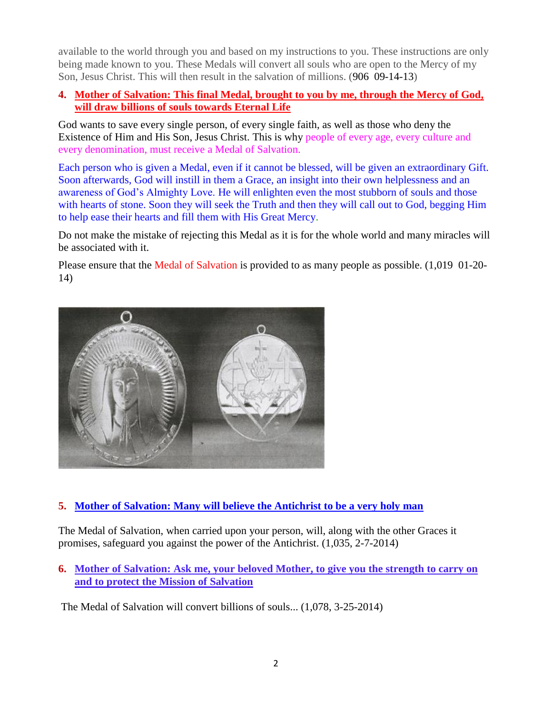available to the world through you and based on my instructions to you. These instructions are only being made known to you. These Medals will convert all souls who are open to the Mercy of my Son, Jesus Christ. This will then result in the salvation of millions. (906 09-14-13)

# **4. [Mother of Salvation: This final Medal, brought to you by me, through the Mercy of God,](http://www.thewarningsecondcoming.com/mother-of-salvation-this-final-medal-brought-to-you-by-me-through-the-mercy-of-god-will-draw-billions-of-souls-towards-eternal-life/)  [will draw billions of souls towards Eternal Life](http://www.thewarningsecondcoming.com/mother-of-salvation-this-final-medal-brought-to-you-by-me-through-the-mercy-of-god-will-draw-billions-of-souls-towards-eternal-life/)**

God wants to save every single person, of every single faith, as well as those who deny the Existence of Him and His Son, Jesus Christ. This is why people of every age, every culture and every denomination, must receive a Medal of Salvation.

Each person who is given a Medal, even if it cannot be blessed, will be given an extraordinary Gift. Soon afterwards, God will instill in them a Grace, an insight into their own helplessness and an awareness of God's Almighty Love. He will enlighten even the most stubborn of souls and those with hearts of stone. Soon they will seek the Truth and then they will call out to God, begging Him to help ease their hearts and fill them with His Great Mercy.

Do not make the mistake of rejecting this Medal as it is for the whole world and many miracles will be associated with it.

Please ensure that the Medal of Salvation is provided to as many people as possible. (1,019 01-20- 14)



# **5. [Mother of Salvation: Many will believe the Antichrist to be a very holy man](http://www.thewarningsecondcoming.com/mother-of-salvation-many-will-believe-the-antichrist-to-be-a-very-holy-man/)**

The Medal of Salvation, when carried upon your person, will, along with the other Graces it promises, safeguard you against the power of the Antichrist. (1,035, 2-7-2014)

**6. [Mother of Salvation: Ask me, your beloved Mother, to give you the strength to carry on](http://www.thewarningsecondcoming.com/mother-of-salvation-ask-me-your-beloved-mother-to-give-you-the-strength-to-carry-on-and-to-protect-the-mission-of-salvation/)  [and to protect the Mission of Salvation](http://www.thewarningsecondcoming.com/mother-of-salvation-ask-me-your-beloved-mother-to-give-you-the-strength-to-carry-on-and-to-protect-the-mission-of-salvation/)**

The Medal of Salvation will convert billions of souls... (1,078, 3-25-2014)